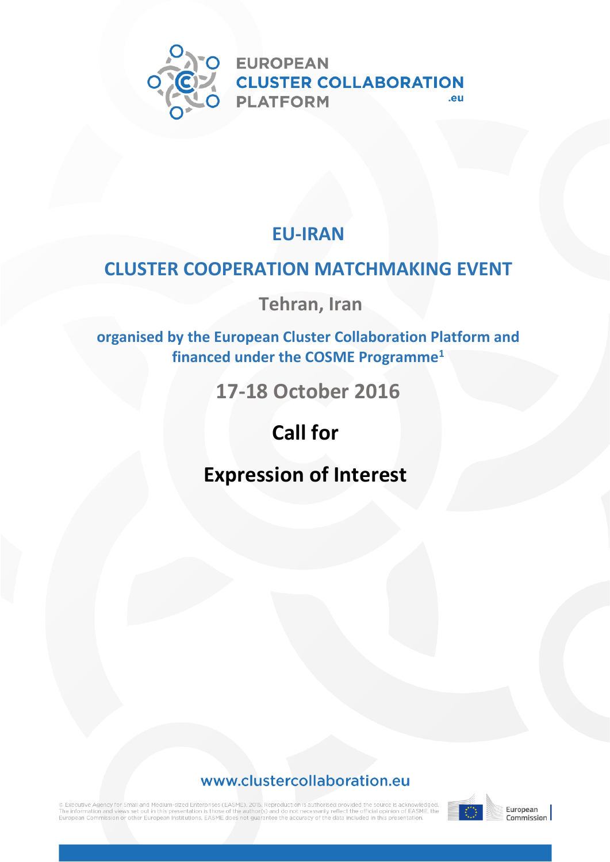

### **EU-IRAN**

## **CLUSTER COOPERATION MATCHMAKING EVENT**

**Tehran, Iran**

**organised by the European Cluster Collaboration Platform and financed under the COSME Programme<sup>1</sup>**

**17-18 October 2016**

## **Call for**

## **Expression of Interest**

#### www.clustercollaboration.eu

ි Executive Agency for Small and Medium-sized Enterprises (EASME), 2015. Reproduction is authorised provided the source is acknowledged.<br>The information and views set out in this presentation is those of the author(s) and an Commission or other European Institutions, EASME does not quarantee the accuracy of the data included in this presentation



European<br>Commission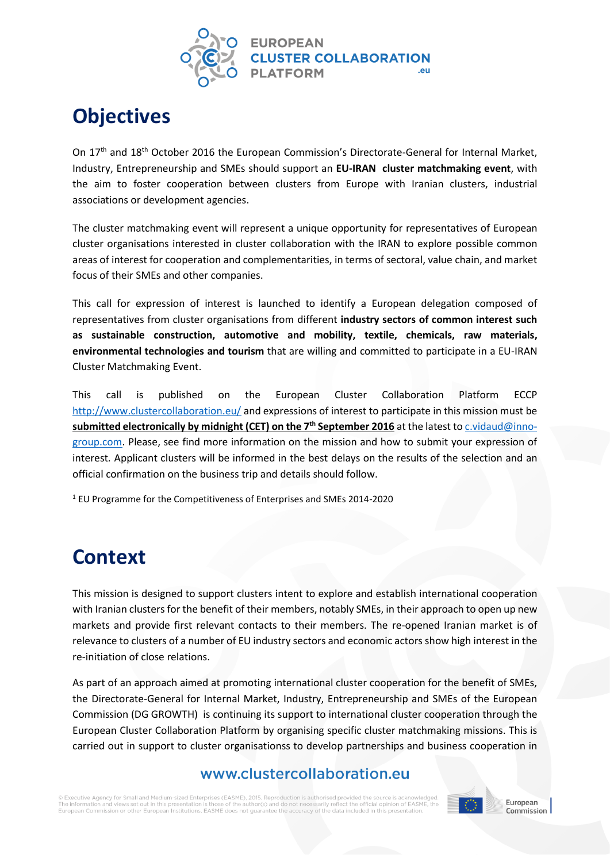

## **Objectives**

On 17<sup>th</sup> and 18<sup>th</sup> October 2016 the European Commission's Directorate-General for Internal Market, Industry, Entrepreneurship and SMEs should support an **EU-IRAN cluster matchmaking event**, with the aim to foster cooperation between clusters from Europe with Iranian clusters, industrial associations or development agencies.

The cluster matchmaking event will represent a unique opportunity for representatives of European cluster organisations interested in cluster collaboration with the IRAN to explore possible common areas of interest for cooperation and complementarities, in terms of sectoral, value chain, and market focus of their SMEs and other companies.

This call for expression of interest is launched to identify a European delegation composed of representatives from cluster organisations from different **industry sectors of common interest such as sustainable construction, automotive and mobility, textile, chemicals, raw materials, environmental technologies and tourism** that are willing and committed to participate in a EU-IRAN Cluster Matchmaking Event.

This call is published on the European Cluster Collaboration Platform ECCP <http://www.clustercollaboration.eu/> and expressions of interest to participate in this mission must be **submitted electronically by midnight (CET) on the 7<sup>th</sup> September 2016** at the latest to *c.vidaud@inno*[group.com.](mailto:c.vidaud@inno-group.com) Please, see find more information on the mission and how to submit your expression of interest*.* Applicant clusters will be informed in the best delays on the results of the selection and an official confirmation on the business trip and details should follow.

<sup>1</sup> EU Programme for the Competitiveness of Enterprises and SMEs 2014-2020

## **Context**

This mission is designed to support clusters intent to explore and establish international cooperation with Iranian clusters for the benefit of their members, notably SMEs, in their approach to open up new markets and provide first relevant contacts to their members. The re-opened Iranian market is of relevance to clusters of a number of EU industry sectors and economic actors show high interest in the re-initiation of close relations.

As part of an approach aimed at promoting international cluster cooperation for the benefit of SMEs, the Directorate-General for Internal Market, Industry, Entrepreneurship and SMEs of the European Commission (DG GROWTH) is continuing its support to international cluster cooperation through the European Cluster Collaboration Platform by organising specific cluster matchmaking missions. This is carried out in support to cluster organisationss to develop partnerships and business cooperation in

#### www.clustercollaboration.eu

itive Agency for Small and Medium-sized Enterprises (EASME), 2015. Reproduction is authorised provided the source The information and views set out in this n n of FASME the thor(s); Furopean Commission or other European Institutions. EASME does not quarantee the accuracy of the data included in this presentation





Commission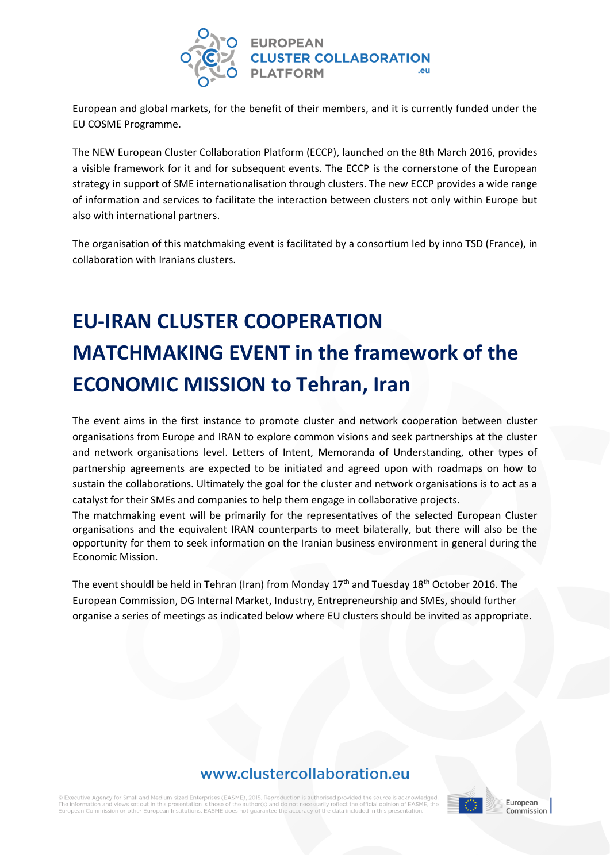

European and global markets, for the benefit of their members, and it is currently funded under the EU COSME Programme.

The NEW European Cluster Collaboration Platform (ECCP), launched on the 8th March 2016, provides a visible framework for it and for subsequent events. The ECCP is the cornerstone of the European strategy in support of SME internationalisation through clusters. The new ECCP provides a wide range of information and services to facilitate the interaction between clusters not only within Europe but also with international partners.

The organisation of this matchmaking event is facilitated by a consortium led by inno TSD (France), in collaboration with Iranians clusters.

## **EU-IRAN CLUSTER COOPERATION MATCHMAKING EVENT in the framework of the ECONOMIC MISSION to Tehran, Iran**

The event aims in the first instance to promote cluster and network cooperation between cluster organisations from Europe and IRAN to explore common visions and seek partnerships at the cluster and network organisations level. Letters of Intent, Memoranda of Understanding, other types of partnership agreements are expected to be initiated and agreed upon with roadmaps on how to sustain the collaborations. Ultimately the goal for the cluster and network organisations is to act as a catalyst for their SMEs and companies to help them engage in collaborative projects.

The matchmaking event will be primarily for the representatives of the selected European Cluster organisations and the equivalent IRAN counterparts to meet bilaterally, but there will also be the opportunity for them to seek information on the Iranian business environment in general during the Economic Mission.

The event shouldl be held in Tehran (Iran) from Monday 17<sup>th</sup> and Tuesday 18<sup>th</sup> October 2016. The European Commission, DG Internal Market, Industry, Entrepreneurship and SMEs, should further organise a series of meetings as indicated below where EU clusters should be invited as appropriate.

#### www.clustercollaboration.eu

itive Agency for Small and Medium-sized Enterprises (EASME), 2015. Reproducti The information and views set out in this presentation is the European Commission or other European Institutions. EASME does not quarantee the accuracy of the data included in this presentation

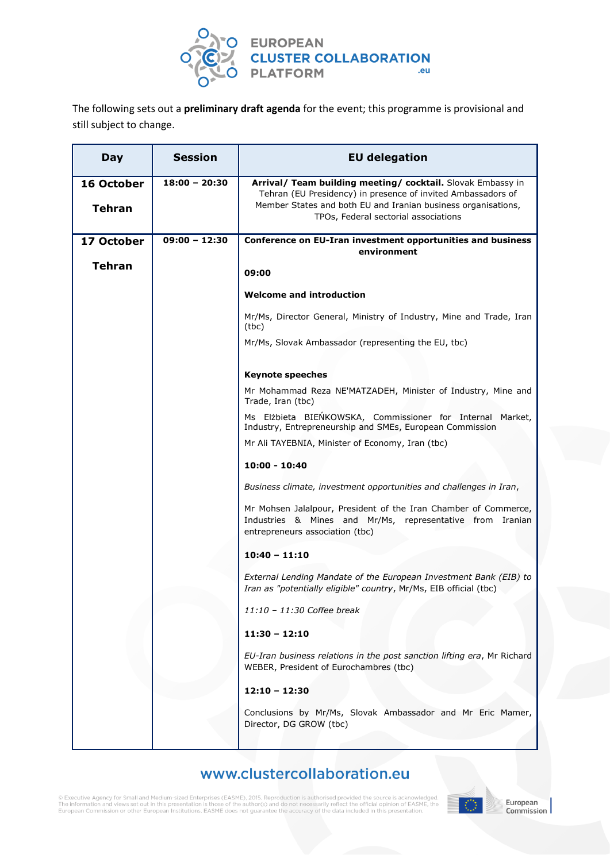

The following sets out a **preliminary draft agenda** for the event; this programme is provisional and still subject to change.

| Day                         | <b>Session</b>  | <b>EU delegation</b>                                                                                                                                                                                                                 |  |
|-----------------------------|-----------------|--------------------------------------------------------------------------------------------------------------------------------------------------------------------------------------------------------------------------------------|--|
| 16 October<br><b>Tehran</b> | $18:00 - 20:30$ | Arrival/ Team building meeting/ cocktail. Slovak Embassy in<br>Tehran (EU Presidency) in presence of invited Ambassadors of<br>Member States and both EU and Iranian business organisations,<br>TPOs, Federal sectorial associations |  |
| 17 October                  | $09:00 - 12:30$ | Conference on EU-Iran investment opportunities and business<br>environment                                                                                                                                                           |  |
| <b>Tehran</b>               |                 | 09:00                                                                                                                                                                                                                                |  |
|                             |                 | <b>Welcome and introduction</b>                                                                                                                                                                                                      |  |
|                             |                 | Mr/Ms, Director General, Ministry of Industry, Mine and Trade, Iran<br>(tbc)                                                                                                                                                         |  |
|                             |                 | Mr/Ms, Slovak Ambassador (representing the EU, tbc)                                                                                                                                                                                  |  |
|                             |                 | <b>Keynote speeches</b>                                                                                                                                                                                                              |  |
|                             |                 | Mr Mohammad Reza NE'MATZADEH, Minister of Industry, Mine and<br>Trade, Iran (tbc)                                                                                                                                                    |  |
|                             |                 | Ms Elżbieta BIEŃKOWSKA, Commissioner for Internal Market,<br>Industry, Entrepreneurship and SMEs, European Commission                                                                                                                |  |
|                             |                 | Mr Ali TAYEBNIA, Minister of Economy, Iran (tbc)                                                                                                                                                                                     |  |
|                             |                 | $10:00 - 10:40$                                                                                                                                                                                                                      |  |
|                             |                 | Business climate, investment opportunities and challenges in Iran,                                                                                                                                                                   |  |
|                             |                 | Mr Mohsen Jalalpour, President of the Iran Chamber of Commerce,<br>Industries & Mines and Mr/Ms, representative from Iranian<br>entrepreneurs association (tbc)                                                                      |  |
|                             |                 | $10:40 - 11:10$                                                                                                                                                                                                                      |  |
|                             |                 | External Lending Mandate of the European Investment Bank (EIB) to<br>Iran as "potentially eligible" country, Mr/Ms, EIB official (tbc)                                                                                               |  |
|                             |                 | 11:10 - 11:30 Coffee break                                                                                                                                                                                                           |  |
|                             |                 | $11:30 - 12:10$                                                                                                                                                                                                                      |  |
|                             |                 | EU-Iran business relations in the post sanction lifting era, Mr Richard<br>WEBER, President of Eurochambres (tbc)                                                                                                                    |  |
|                             |                 | $12:10 - 12:30$                                                                                                                                                                                                                      |  |
|                             |                 | Conclusions by Mr/Ms, Slovak Ambassador and Mr Eric Mamer,<br>Director, DG GROW (tbc)                                                                                                                                                |  |
|                             |                 |                                                                                                                                                                                                                                      |  |

#### www.clustercollaboration.eu

 $\circledR$  Executive Agency for Small and Medium-sized Enterprises (EASME), 2015. Reproduction is authorised provided the source is acknowledged.<br>The information and views set out in this presentation is those of the author(s

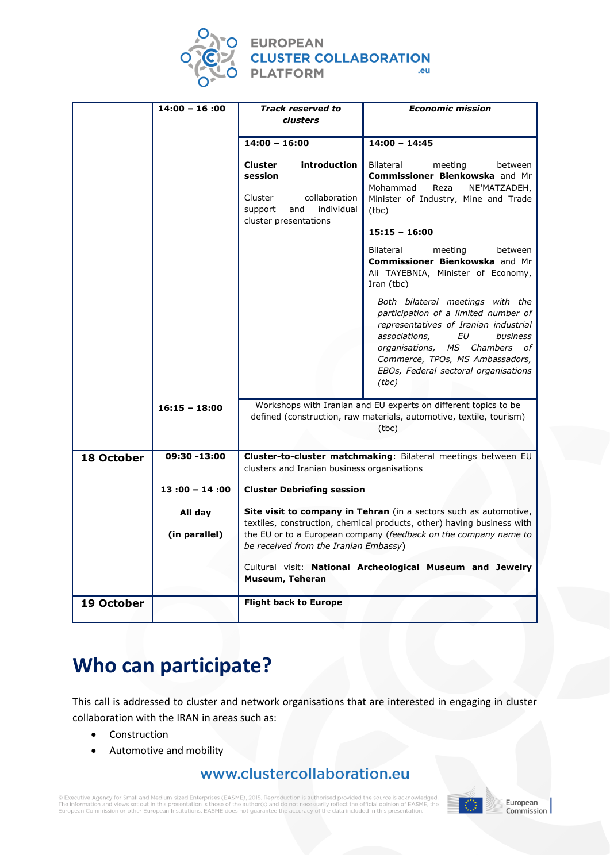

# EUROPEAN<br>CLUSTER COLLABORATION<br>PLATFORM

|            | $14:00 - 16:00$ | <b>Track reserved to</b><br><b>clusters</b>                                                                                                                                         | <b>Economic mission</b>                                                                                                                                                                                                                                                   |
|------------|-----------------|-------------------------------------------------------------------------------------------------------------------------------------------------------------------------------------|---------------------------------------------------------------------------------------------------------------------------------------------------------------------------------------------------------------------------------------------------------------------------|
|            |                 |                                                                                                                                                                                     |                                                                                                                                                                                                                                                                           |
|            |                 | $14:00 - 16:00$                                                                                                                                                                     | $14:00 - 14:45$                                                                                                                                                                                                                                                           |
|            |                 | <b>Cluster</b><br>introduction<br>session<br>collaboration<br>Cluster<br>and<br>individual<br>support                                                                               | Bilateral<br>meeting<br>between<br>Commissioner Bienkowska and Mr<br>Reza<br>NE'MATZADEH,<br>Mohammad<br>Minister of Industry, Mine and Trade<br>(tbc)                                                                                                                    |
|            |                 | cluster presentations                                                                                                                                                               | $15:15 - 16:00$                                                                                                                                                                                                                                                           |
|            |                 |                                                                                                                                                                                     | Bilateral<br>meeting<br>between<br>Commissioner Bienkowska and Mr<br>Ali TAYEBNIA, Minister of Economy,<br>Iran (tbc)                                                                                                                                                     |
|            |                 |                                                                                                                                                                                     | Both bilateral meetings with the<br>participation of a limited number of<br>representatives of Iranian industrial<br>associations,<br>EU<br>business<br>organisations, MS Chambers of<br>Commerce, TPOs, MS Ambassadors,<br>EBOs, Federal sectoral organisations<br>(tbc) |
|            | $16:15 - 18:00$ | Workshops with Iranian and EU experts on different topics to be<br>defined (construction, raw materials, automotive, textile, tourism)<br>(tbc)                                     |                                                                                                                                                                                                                                                                           |
| 18 October | 09:30 -13:00    | Cluster-to-cluster matchmaking: Bilateral meetings between EU<br>clusters and Iranian business organisations                                                                        |                                                                                                                                                                                                                                                                           |
|            | $13:00 - 14:00$ | <b>Cluster Debriefing session</b>                                                                                                                                                   |                                                                                                                                                                                                                                                                           |
|            | All day         | Site visit to company in Tehran (in a sectors such as automotive,                                                                                                                   |                                                                                                                                                                                                                                                                           |
|            | (in parallel)   | textiles, construction, chemical products, other) having business with<br>the EU or to a European company (feedback on the company name to<br>be received from the Iranian Embassy) |                                                                                                                                                                                                                                                                           |
|            |                 | Museum, Teheran                                                                                                                                                                     | Cultural visit: National Archeological Museum and Jewelry                                                                                                                                                                                                                 |
| 19 October |                 | <b>Flight back to Europe</b>                                                                                                                                                        |                                                                                                                                                                                                                                                                           |

## **Who can participate?**

This call is addressed to cluster and network organisations that are interested in engaging in cluster collaboration with the IRAN in areas such as:

- Construction
- Automotive and mobility

#### www.clustercollaboration.eu

© Executive Agency for Small and Medium-sized Enterprises (EASME), 2015. Reproduction is authorised provided the source is acknowledged.<br>The information and views set out in this presentation is those of the author(s) and



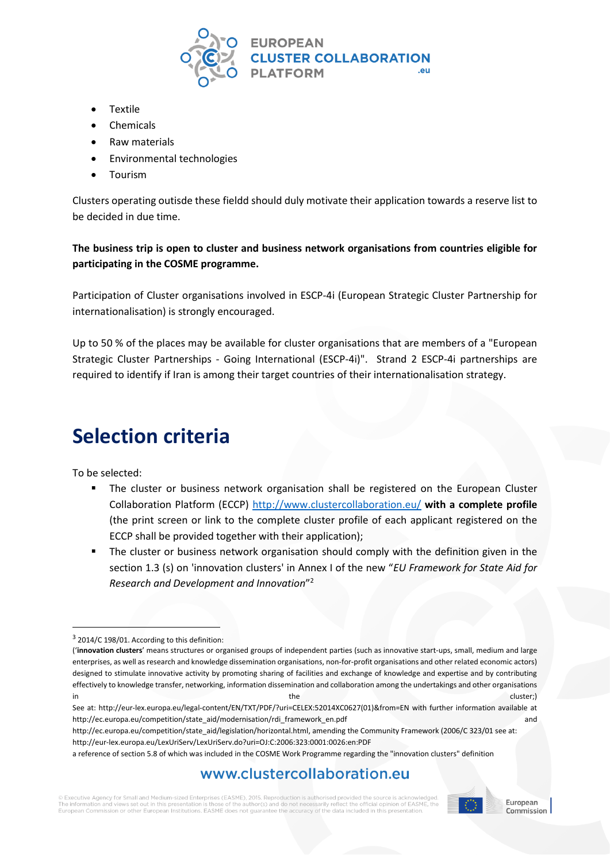

- Textile
- Chemicals
- Raw materials
- Environmental technologies
- Tourism

Clusters operating outisde these fieldd should duly motivate their application towards a reserve list to be decided in due time.

**The business trip is open to cluster and business network organisations from countries eligible for participating in the COSME programme.**

Participation of Cluster organisations involved in ESCP-4i (European Strategic Cluster Partnership for internationalisation) is strongly encouraged.

Up to 50 % of the places may be available for cluster organisations that are members of a "European Strategic Cluster Partnerships - Going International (ESCP-4i)". Strand 2 ESCP-4i partnerships are required to identify if Iran is among their target countries of their internationalisation strategy.

## **Selection criteria**

To be selected:

1

- The cluster or business network organisation shall be registered on the European Cluster Collaboration Platform (ECCP)<http://www.clustercollaboration.eu/> **with a complete profile**  (the print screen or link to the complete cluster profile of each applicant registered on the ECCP shall be provided together with their application);
- The cluster or business network organisation should comply with the definition given in the section 1.3 (s) on 'innovation clusters' in Annex I of the new "*EU Framework for State Aid for Research and Development and Innovation*" 2

#### www.clustercollaboration.eu

C Executive Agency for Small and Medium-sized Enterprises (EASME), 2015. Reproduction is authorised provided the source set out in this r Furopean Commission or other European Institutions. EASME does not quarantee the accuracy of the data included in this presentation



<sup>&</sup>lt;sup>3</sup> 2014/C 198/01. According to this definition:

<sup>(&#</sup>x27;**innovation clusters**' means structures or organised groups of independent parties (such as innovative start-ups, small, medium and large enterprises, as well as research and knowledge dissemination organisations, non-for-profit organisations and other related economic actors) designed to stimulate innovative activity by promoting sharing of facilities and exchange of knowledge and expertise and by contributing effectively to knowledge transfer, networking, information dissemination and collaboration among the undertakings and other organisations in the cluster;) the cluster  $\sim$  the cluster  $\sim$  cluster;

See at: [http://eur-lex.europa.eu/legal-content/EN/TXT/PDF/?uri=CELEX:52014XC0627\(01\)&from=EN](http://eur-lex.europa.eu/legal-content/EN/TXT/PDF/?uri=CELEX:52014XC0627(01)&from=EN) with further information available at [http://ec.europa.eu/competition/state\\_aid/modernisation/rdi\\_framework\\_en.pdf](http://ec.europa.eu/competition/state_aid/modernisation/rdi_framework_en.pdf) and

[http://ec.europa.eu/competition/state\\_aid/legislation/horizontal.html,](http://ec.europa.eu/competition/state_aid/legislation/horizontal.html) amending the Community Framework (2006/C 323/01 see at: <http://eur-lex.europa.eu/LexUriServ/LexUriServ.do?uri=OJ:C:2006:323:0001:0026:en:PDF>

a reference of section 5.8 of which was included in the COSME Work Programme regarding the "innovation clusters" definition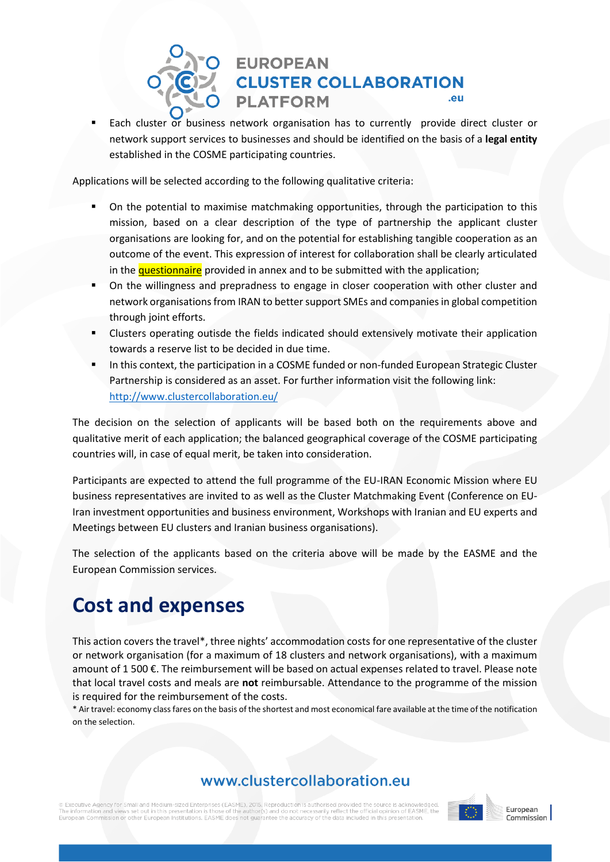#### **EUROPEAN CLUSTER COLLABORATION** .eu **PLATFORM**

 Each cluster or business network organisation has to currently provide direct cluster or network support services to businesses and should be identified on the basis of a **legal entity** established in the COSME participating countries.

Applications will be selected according to the following qualitative criteria:

- On the potential to maximise matchmaking opportunities, through the participation to this mission, based on a clear description of the type of partnership the applicant cluster organisations are looking for, and on the potential for establishing tangible cooperation as an outcome of the event. This expression of interest for collaboration shall be clearly articulated in the questionnaire provided in annex and to be submitted with the application;
- On the willingness and prepradness to engage in closer cooperation with other cluster and network organisations from IRAN to better support SMEs and companies in global competition through joint efforts.
- Clusters operating outisde the fields indicated should extensively motivate their application towards a reserve list to be decided in due time.
- In this context, the participation in a COSME funded or non-funded European Strategic Cluster Partnership is considered as an asset. For further information visit the following link: <http://www.clustercollaboration.eu/>

The decision on the selection of applicants will be based both on the requirements above and qualitative merit of each application; the balanced geographical coverage of the COSME participating countries will, in case of equal merit, be taken into consideration.

Participants are expected to attend the full programme of the EU-IRAN Economic Mission where EU business representatives are invited to as well as the Cluster Matchmaking Event (Conference on EU-Iran investment opportunities and business environment, Workshops with Iranian and EU experts and Meetings between EU clusters and Iranian business organisations).

The selection of the applicants based on the criteria above will be made by the EASME and the European Commission services.

## **Cost and expenses**

This action covers the travel\*, three nights' accommodation costs for one representative of the cluster or network organisation (for a maximum of 18 clusters and network organisations), with a maximum amount of 1 500 €. The reimbursement will be based on actual expenses related to travel. Please note that local travel costs and meals are **not** reimbursable. Attendance to the programme of the mission is required for the reimbursement of the costs.

\* Air travel: economy class fares on the basis of the shortest and most economical fare available at the time of the notification on the selection.

#### www.clustercollaboration.eu

© Executive Agency for Small and Medium-sized Enterprises (EASME), 2015. Reproduction is authorised provided the source is acknowledged.<br>The information and views set out in this presentation is those of the author(s) and